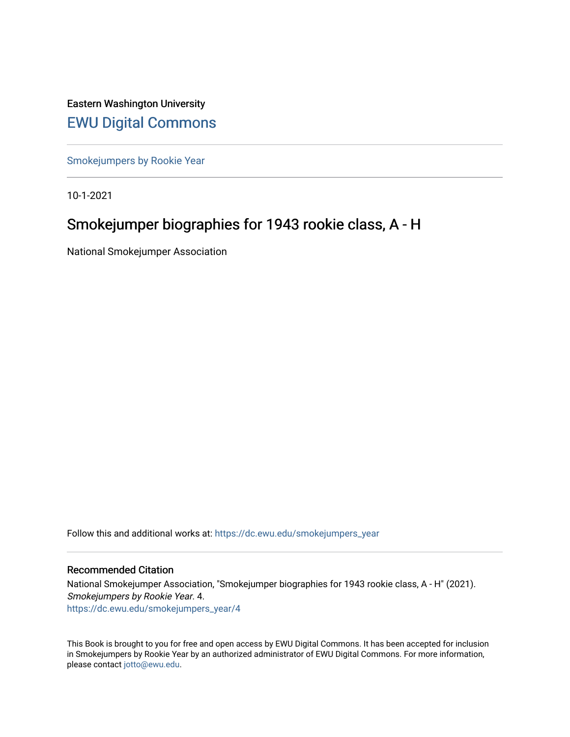Eastern Washington University [EWU Digital Commons](https://dc.ewu.edu/)

[Smokejumpers by Rookie Year](https://dc.ewu.edu/smokejumpers_year)

10-1-2021

# Smokejumper biographies for 1943 rookie class, A - H

National Smokejumper Association

Follow this and additional works at: [https://dc.ewu.edu/smokejumpers\\_year](https://dc.ewu.edu/smokejumpers_year?utm_source=dc.ewu.edu%2Fsmokejumpers_year%2F4&utm_medium=PDF&utm_campaign=PDFCoverPages) 

#### Recommended Citation

National Smokejumper Association, "Smokejumper biographies for 1943 rookie class, A - H" (2021). Smokejumpers by Rookie Year. 4. [https://dc.ewu.edu/smokejumpers\\_year/4](https://dc.ewu.edu/smokejumpers_year/4?utm_source=dc.ewu.edu%2Fsmokejumpers_year%2F4&utm_medium=PDF&utm_campaign=PDFCoverPages)

This Book is brought to you for free and open access by EWU Digital Commons. It has been accepted for inclusion in Smokejumpers by Rookie Year by an authorized administrator of EWU Digital Commons. For more information, please contact [jotto@ewu.edu](mailto:jotto@ewu.edu).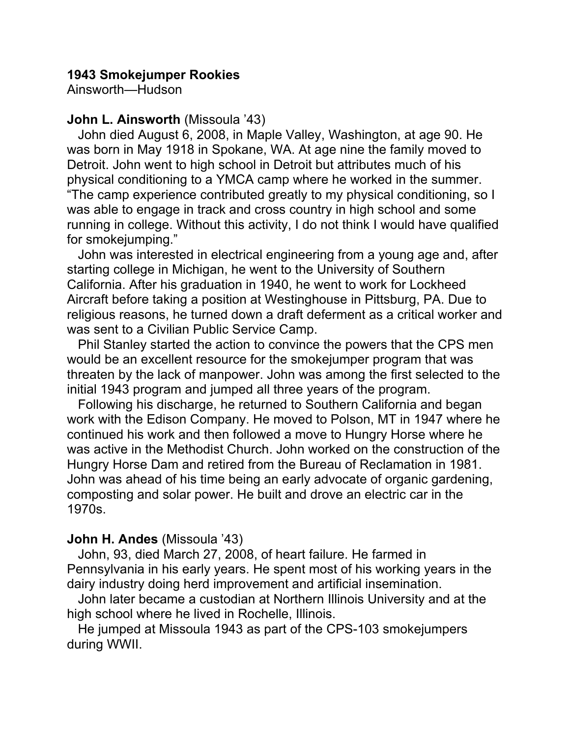### **1943 Smokejumper Rookies**

Ainsworth—Hudson

#### **John L. Ainsworth** (Missoula '43)

 John died August 6, 2008, in Maple Valley, Washington, at age 90. He was born in May 1918 in Spokane, WA. At age nine the family moved to Detroit. John went to high school in Detroit but attributes much of his physical conditioning to a YMCA camp where he worked in the summer. "The camp experience contributed greatly to my physical conditioning, so I was able to engage in track and cross country in high school and some running in college. Without this activity, I do not think I would have qualified for smokejumping."

 John was interested in electrical engineering from a young age and, after starting college in Michigan, he went to the University of Southern California. After his graduation in 1940, he went to work for Lockheed Aircraft before taking a position at Westinghouse in Pittsburg, PA. Due to religious reasons, he turned down a draft deferment as a critical worker and was sent to a Civilian Public Service Camp.

 Phil Stanley started the action to convince the powers that the CPS men would be an excellent resource for the smokejumper program that was threaten by the lack of manpower. John was among the first selected to the initial 1943 program and jumped all three years of the program.

 Following his discharge, he returned to Southern California and began work with the Edison Company. He moved to Polson, MT in 1947 where he continued his work and then followed a move to Hungry Horse where he was active in the Methodist Church. John worked on the construction of the Hungry Horse Dam and retired from the Bureau of Reclamation in 1981. John was ahead of his time being an early advocate of organic gardening, composting and solar power. He built and drove an electric car in the 1970s.

#### **John H. Andes** (Missoula '43)

 John, 93, died March 27, 2008, of heart failure. He farmed in Pennsylvania in his early years. He spent most of his working years in the dairy industry doing herd improvement and artificial insemination.

 John later became a custodian at Northern Illinois University and at the high school where he lived in Rochelle, Illinois.

 He jumped at Missoula 1943 as part of the CPS-103 smokejumpers during WWII.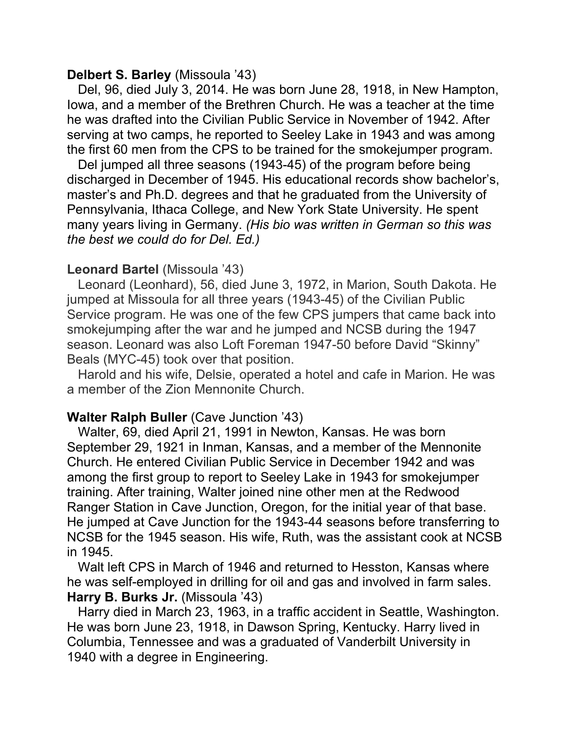#### **Delbert S. Barley** (Missoula '43)

 Del, 96, died July 3, 2014. He was born June 28, 1918, in New Hampton, Iowa, and a member of the Brethren Church. He was a teacher at the time he was drafted into the Civilian Public Service in November of 1942. After serving at two camps, he reported to Seeley Lake in 1943 and was among the first 60 men from the CPS to be trained for the smokejumper program.

 Del jumped all three seasons (1943-45) of the program before being discharged in December of 1945. His educational records show bachelor's, master's and Ph.D. degrees and that he graduated from the University of Pennsylvania, Ithaca College, and New York State University. He spent many years living in Germany. *(His bio was written in German so this was the best we could do for Del. Ed.)*

#### **Leonard Bartel** (Missoula '43)

 Leonard (Leonhard), 56, died June 3, 1972, in Marion, South Dakota. He jumped at Missoula for all three years (1943-45) of the Civilian Public Service program. He was one of the few CPS jumpers that came back into smokejumping after the war and he jumped and NCSB during the 1947 season. Leonard was also Loft Foreman 1947-50 before David "Skinny" Beals (MYC-45) took over that position.

 Harold and his wife, Delsie, operated a hotel and cafe in Marion. He was a member of the Zion Mennonite Church.

### **Walter Ralph Buller** (Cave Junction '43)

 Walter, 69, died April 21, 1991 in Newton, Kansas. He was born September 29, 1921 in Inman, Kansas, and a member of the Mennonite Church. He entered Civilian Public Service in December 1942 and was among the first group to report to Seeley Lake in 1943 for smokejumper training. After training, Walter joined nine other men at the Redwood Ranger Station in Cave Junction, Oregon, for the initial year of that base. He jumped at Cave Junction for the 1943-44 seasons before transferring to NCSB for the 1945 season. His wife, Ruth, was the assistant cook at NCSB in 1945.

 Walt left CPS in March of 1946 and returned to Hesston, Kansas where he was self-employed in drilling for oil and gas and involved in farm sales. **Harry B. Burks Jr.** (Missoula '43)

 Harry died in March 23, 1963, in a traffic accident in Seattle, Washington. He was born June 23, 1918, in Dawson Spring, Kentucky. Harry lived in Columbia, Tennessee and was a graduated of Vanderbilt University in 1940 with a degree in Engineering.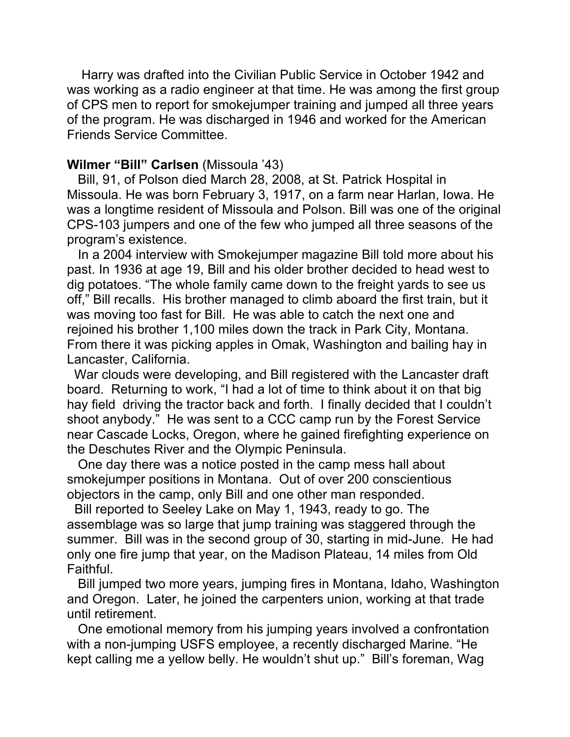Harry was drafted into the Civilian Public Service in October 1942 and was working as a radio engineer at that time. He was among the first group of CPS men to report for smokejumper training and jumped all three years of the program. He was discharged in 1946 and worked for the American Friends Service Committee.

### **Wilmer "Bill" Carlsen** (Missoula '43)

 Bill, 91, of Polson died March 28, 2008, at St. Patrick Hospital in Missoula. He was born February 3, 1917, on a farm near Harlan, Iowa. He was a longtime resident of Missoula and Polson. Bill was one of the original CPS-103 jumpers and one of the few who jumped all three seasons of the program's existence.

 In a 2004 interview with Smokejumper magazine Bill told more about his past. In 1936 at age 19, Bill and his older brother decided to head west to dig potatoes. "The whole family came down to the freight yards to see us off," Bill recalls. His brother managed to climb aboard the first train, but it was moving too fast for Bill. He was able to catch the next one and rejoined his brother 1,100 miles down the track in Park City, Montana. From there it was picking apples in Omak, Washington and bailing hay in Lancaster, California.

 War clouds were developing, and Bill registered with the Lancaster draft board. Returning to work, "I had a lot of time to think about it on that big hay field driving the tractor back and forth. I finally decided that I couldn't shoot anybody." He was sent to a CCC camp run by the Forest Service near Cascade Locks, Oregon, where he gained firefighting experience on the Deschutes River and the Olympic Peninsula.

 One day there was a notice posted in the camp mess hall about smokejumper positions in Montana. Out of over 200 conscientious objectors in the camp, only Bill and one other man responded.

 Bill reported to Seeley Lake on May 1, 1943, ready to go. The assemblage was so large that jump training was staggered through the summer. Bill was in the second group of 30, starting in mid-June. He had only one fire jump that year, on the Madison Plateau, 14 miles from Old Faithful.

 Bill jumped two more years, jumping fires in Montana, Idaho, Washington and Oregon. Later, he joined the carpenters union, working at that trade until retirement.

 One emotional memory from his jumping years involved a confrontation with a non-jumping USFS employee, a recently discharged Marine. "He kept calling me a yellow belly. He wouldn't shut up." Bill's foreman, Wag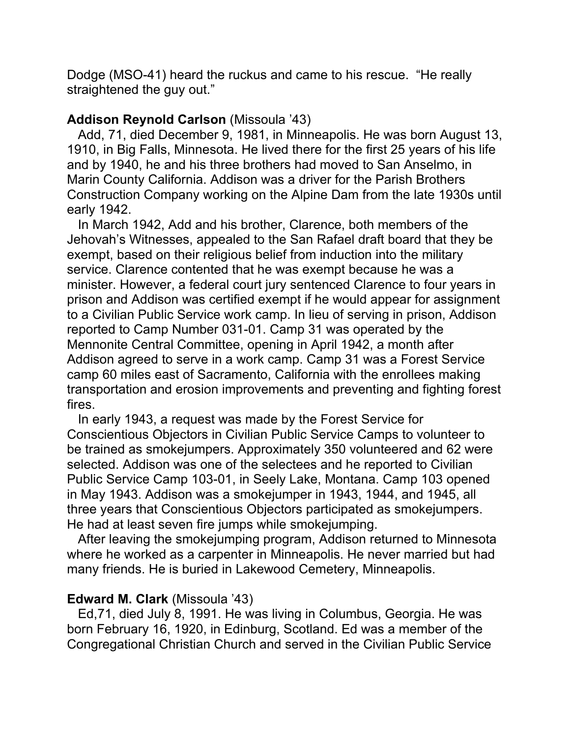Dodge (MSO-41) heard the ruckus and came to his rescue. "He really straightened the guy out."

### **Addison Reynold Carlson** (Missoula '43)

 Add, 71, died December 9, 1981, in Minneapolis. He was born August 13, 1910, in Big Falls, Minnesota. He lived there for the first 25 years of his life and by 1940, he and his three brothers had moved to San Anselmo, in Marin County California. Addison was a driver for the Parish Brothers Construction Company working on the Alpine Dam from the late 1930s until early 1942.

 In March 1942, Add and his brother, Clarence, both members of the Jehovah's Witnesses, appealed to the San Rafael draft board that they be exempt, based on their religious belief from induction into the military service. Clarence contented that he was exempt because he was a minister. However, a federal court jury sentenced Clarence to four years in prison and Addison was certified exempt if he would appear for assignment to a Civilian Public Service work camp. In lieu of serving in prison, Addison reported to Camp Number 031-01. Camp 31 was operated by the Mennonite Central Committee, opening in April 1942, a month after Addison agreed to serve in a work camp. Camp 31 was a Forest Service camp 60 miles east of Sacramento, California with the enrollees making transportation and erosion improvements and preventing and fighting forest fires.

 In early 1943, a request was made by the Forest Service for Conscientious Objectors in Civilian Public Service Camps to volunteer to be trained as smokejumpers. Approximately 350 volunteered and 62 were selected. Addison was one of the selectees and he reported to Civilian Public Service Camp 103-01, in Seely Lake, Montana. Camp 103 opened in May 1943. Addison was a smokejumper in 1943, 1944, and 1945, all three years that Conscientious Objectors participated as smokejumpers. He had at least seven fire jumps while smokejumping.

 After leaving the smokejumping program, Addison returned to Minnesota where he worked as a carpenter in Minneapolis. He never married but had many friends. He is buried in Lakewood Cemetery, Minneapolis.

#### **Edward M. Clark** (Missoula '43)

 Ed,71, died July 8, 1991. He was living in Columbus, Georgia. He was born February 16, 1920, in Edinburg, Scotland. Ed was a member of the Congregational Christian Church and served in the Civilian Public Service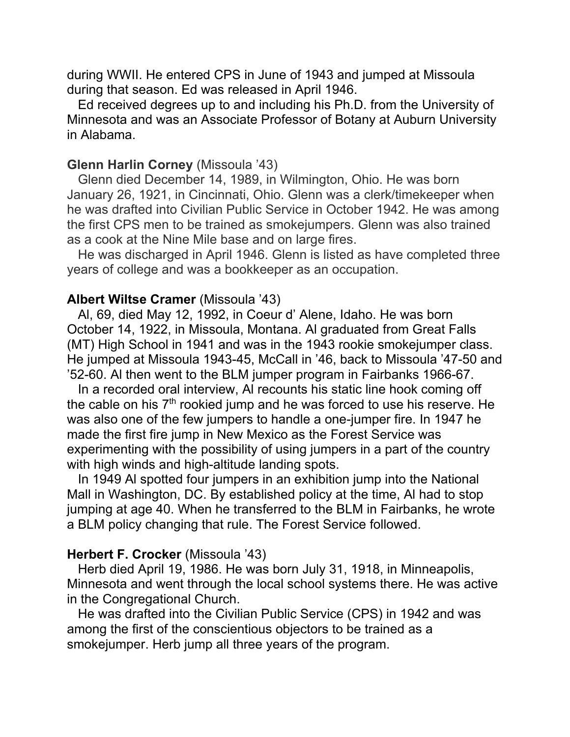during WWII. He entered CPS in June of 1943 and jumped at Missoula during that season. Ed was released in April 1946.

 Ed received degrees up to and including his Ph.D. from the University of Minnesota and was an Associate Professor of Botany at Auburn University in Alabama.

### **Glenn Harlin Corney** (Missoula '43)

 Glenn died December 14, 1989, in Wilmington, Ohio. He was born January 26, 1921, in Cincinnati, Ohio. Glenn was a clerk/timekeeper when he was drafted into Civilian Public Service in October 1942. He was among the first CPS men to be trained as smokejumpers. Glenn was also trained as a cook at the Nine Mile base and on large fires.

 He was discharged in April 1946. Glenn is listed as have completed three years of college and was a bookkeeper as an occupation.

#### **Albert Wiltse Cramer** (Missoula '43)

 Al, 69, died May 12, 1992, in Coeur d' Alene, Idaho. He was born October 14, 1922, in Missoula, Montana. Al graduated from Great Falls (MT) High School in 1941 and was in the 1943 rookie smokejumper class. He jumped at Missoula 1943-45, McCall in '46, back to Missoula '47-50 and '52-60. Al then went to the BLM jumper program in Fairbanks 1966-67.

 In a recorded oral interview, Al recounts his static line hook coming off the cable on his  $7<sup>th</sup>$  rookied jump and he was forced to use his reserve. He was also one of the few jumpers to handle a one-jumper fire. In 1947 he made the first fire jump in New Mexico as the Forest Service was experimenting with the possibility of using jumpers in a part of the country with high winds and high-altitude landing spots.

 In 1949 Al spotted four jumpers in an exhibition jump into the National Mall in Washington, DC. By established policy at the time, Al had to stop jumping at age 40. When he transferred to the BLM in Fairbanks, he wrote a BLM policy changing that rule. The Forest Service followed.

### **Herbert F. Crocker** (Missoula '43)

 Herb died April 19, 1986. He was born July 31, 1918, in Minneapolis, Minnesota and went through the local school systems there. He was active in the Congregational Church.

 He was drafted into the Civilian Public Service (CPS) in 1942 and was among the first of the conscientious objectors to be trained as a smokejumper. Herb jump all three years of the program.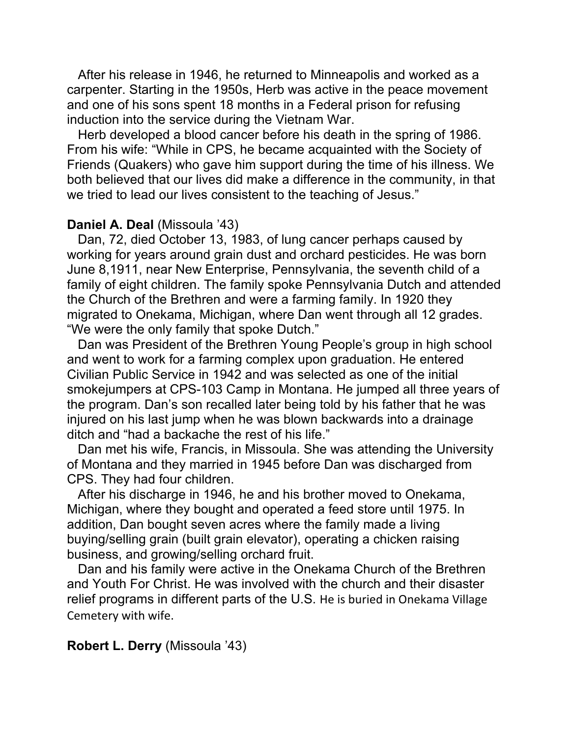After his release in 1946, he returned to Minneapolis and worked as a carpenter. Starting in the 1950s, Herb was active in the peace movement and one of his sons spent 18 months in a Federal prison for refusing induction into the service during the Vietnam War.

 Herb developed a blood cancer before his death in the spring of 1986. From his wife: "While in CPS, he became acquainted with the Society of Friends (Quakers) who gave him support during the time of his illness. We both believed that our lives did make a difference in the community, in that we tried to lead our lives consistent to the teaching of Jesus."

#### **Daniel A. Deal** (Missoula '43)

 Dan, 72, died October 13, 1983, of lung cancer perhaps caused by working for years around grain dust and orchard pesticides. He was born June 8,1911, near New Enterprise, Pennsylvania, the seventh child of a family of eight children. The family spoke Pennsylvania Dutch and attended the Church of the Brethren and were a farming family. In 1920 they migrated to Onekama, Michigan, where Dan went through all 12 grades. "We were the only family that spoke Dutch."

 Dan was President of the Brethren Young People's group in high school and went to work for a farming complex upon graduation. He entered Civilian Public Service in 1942 and was selected as one of the initial smokejumpers at CPS-103 Camp in Montana. He jumped all three years of the program. Dan's son recalled later being told by his father that he was injured on his last jump when he was blown backwards into a drainage ditch and "had a backache the rest of his life."

 Dan met his wife, Francis, in Missoula. She was attending the University of Montana and they married in 1945 before Dan was discharged from CPS. They had four children.

 After his discharge in 1946, he and his brother moved to Onekama, Michigan, where they bought and operated a feed store until 1975. In addition, Dan bought seven acres where the family made a living buying/selling grain (built grain elevator), operating a chicken raising business, and growing/selling orchard fruit.

 Dan and his family were active in the Onekama Church of the Brethren and Youth For Christ. He was involved with the church and their disaster relief programs in different parts of the U.S. He is buried in Onekama Village Cemetery with wife.

### **Robert L. Derry** (Missoula '43)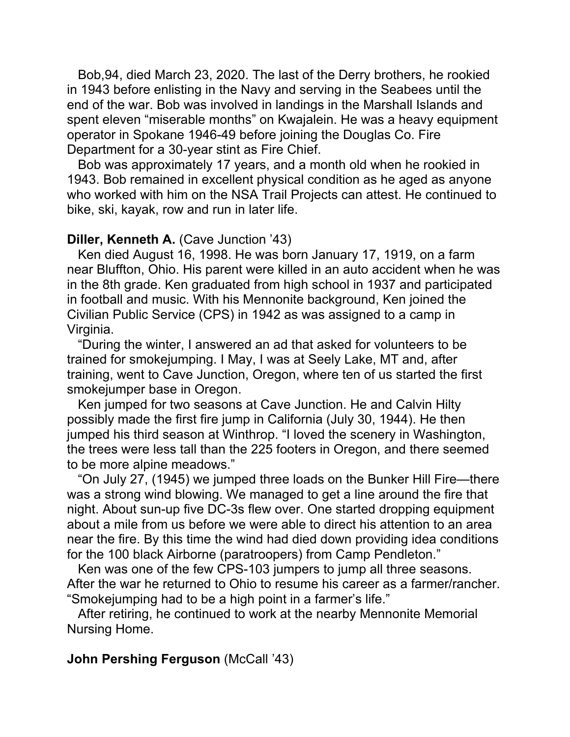Bob,94, died March 23, 2020. The last of the Derry brothers, he rookied in 1943 before enlisting in the Navy and serving in the Seabees until the end of the war. Bob was involved in landings in the Marshall Islands and spent eleven "miserable months" on Kwajalein. He was a heavy equipment operator in Spokane 1946-49 before joining the Douglas Co. Fire Department for a 30-year stint as Fire Chief.

 Bob was approximately 17 years, and a month old when he rookied in 1943. Bob remained in excellent physical condition as he aged as anyone who worked with him on the NSA Trail Projects can attest. He continued to bike, ski, kayak, row and run in later life.

#### **Diller, Kenneth A.** (Cave Junction '43)

 Ken died August 16, 1998. He was born January 17, 1919, on a farm near Bluffton, Ohio. His parent were killed in an auto accident when he was in the 8th grade. Ken graduated from high school in 1937 and participated in football and music. With his Mennonite background, Ken joined the Civilian Public Service (CPS) in 1942 as was assigned to a camp in Virginia.

 "During the winter, I answered an ad that asked for volunteers to be trained for smokejumping. I May, I was at Seely Lake, MT and, after training, went to Cave Junction, Oregon, where ten of us started the first smokejumper base in Oregon.

 Ken jumped for two seasons at Cave Junction. He and Calvin Hilty possibly made the first fire jump in California (July 30, 1944). He then jumped his third season at Winthrop. "I loved the scenery in Washington, the trees were less tall than the 225 footers in Oregon, and there seemed to be more alpine meadows."

 "On July 27, (1945) we jumped three loads on the Bunker Hill Fire—there was a strong wind blowing. We managed to get a line around the fire that night. About sun-up five DC-3s flew over. One started dropping equipment about a mile from us before we were able to direct his attention to an area near the fire. By this time the wind had died down providing idea conditions for the 100 black Airborne (paratroopers) from Camp Pendleton."

 Ken was one of the few CPS-103 jumpers to jump all three seasons. After the war he returned to Ohio to resume his career as a farmer/rancher. "Smokejumping had to be a high point in a farmer's life."

 After retiring, he continued to work at the nearby Mennonite Memorial Nursing Home.

### **John Pershing Ferguson** (McCall '43)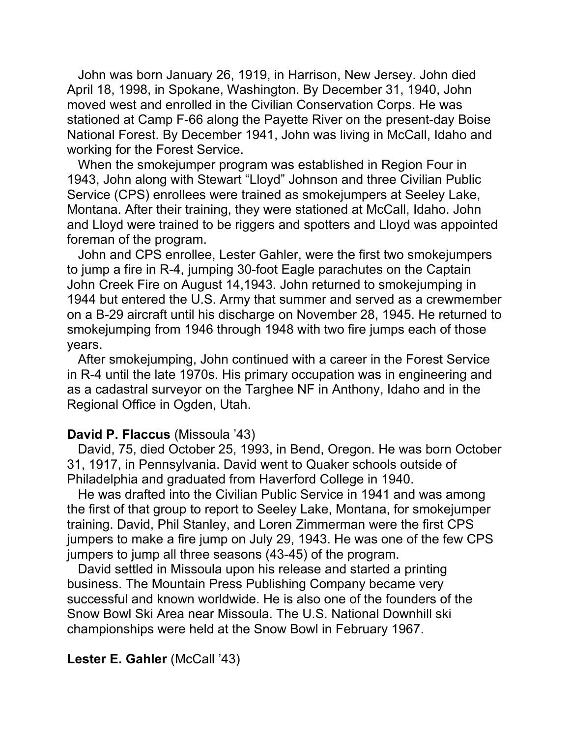John was born January 26, 1919, in Harrison, New Jersey. John died April 18, 1998, in Spokane, Washington. By December 31, 1940, John moved west and enrolled in the Civilian Conservation Corps. He was stationed at Camp F-66 along the Payette River on the present-day Boise National Forest. By December 1941, John was living in McCall, Idaho and working for the Forest Service.

 When the smokejumper program was established in Region Four in 1943, John along with Stewart "Lloyd" Johnson and three Civilian Public Service (CPS) enrollees were trained as smokejumpers at Seeley Lake, Montana. After their training, they were stationed at McCall, Idaho. John and Lloyd were trained to be riggers and spotters and Lloyd was appointed foreman of the program.

 John and CPS enrollee, Lester Gahler, were the first two smokejumpers to jump a fire in R-4, jumping 30-foot Eagle parachutes on the Captain John Creek Fire on August 14,1943. John returned to smokejumping in 1944 but entered the U.S. Army that summer and served as a crewmember on a B-29 aircraft until his discharge on November 28, 1945. He returned to smokejumping from 1946 through 1948 with two fire jumps each of those years.

 After smokejumping, John continued with a career in the Forest Service in R-4 until the late 1970s. His primary occupation was in engineering and as a cadastral surveyor on the Targhee NF in Anthony, Idaho and in the Regional Office in Ogden, Utah.

#### **David P. Flaccus** (Missoula '43)

 David, 75, died October 25, 1993, in Bend, Oregon. He was born October 31, 1917, in Pennsylvania. David went to Quaker schools outside of Philadelphia and graduated from Haverford College in 1940.

 He was drafted into the Civilian Public Service in 1941 and was among the first of that group to report to Seeley Lake, Montana, for smokejumper training. David, Phil Stanley, and Loren Zimmerman were the first CPS jumpers to make a fire jump on July 29, 1943. He was one of the few CPS jumpers to jump all three seasons (43-45) of the program.

 David settled in Missoula upon his release and started a printing business. The Mountain Press Publishing Company became very successful and known worldwide. He is also one of the founders of the Snow Bowl Ski Area near Missoula. The U.S. National Downhill ski championships were held at the Snow Bowl in February 1967.

#### **Lester E. Gahler** (McCall '43)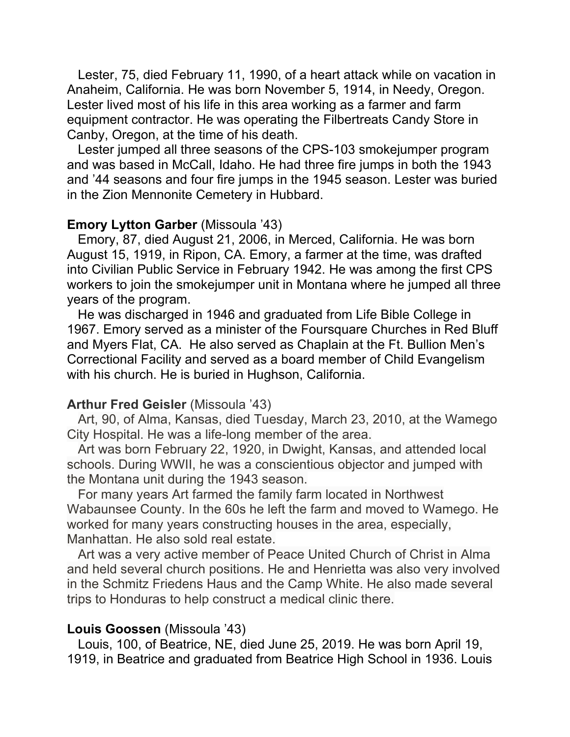Lester, 75, died February 11, 1990, of a heart attack while on vacation in Anaheim, California. He was born November 5, 1914, in Needy, Oregon. Lester lived most of his life in this area working as a farmer and farm equipment contractor. He was operating the Filbertreats Candy Store in Canby, Oregon, at the time of his death.

 Lester jumped all three seasons of the CPS-103 smokejumper program and was based in McCall, Idaho. He had three fire jumps in both the 1943 and '44 seasons and four fire jumps in the 1945 season. Lester was buried in the Zion Mennonite Cemetery in Hubbard.

#### **Emory Lytton Garber** (Missoula '43)

 Emory, 87, died August 21, 2006, in Merced, California. He was born August 15, 1919, in Ripon, CA. Emory, a farmer at the time, was drafted into Civilian Public Service in February 1942. He was among the first CPS workers to join the smokejumper unit in Montana where he jumped all three years of the program.

 He was discharged in 1946 and graduated from Life Bible College in 1967. Emory served as a minister of the Foursquare Churches in Red Bluff and Myers Flat, CA. He also served as Chaplain at the Ft. Bullion Men's Correctional Facility and served as a board member of Child Evangelism with his church. He is buried in Hughson, California.

#### **Arthur Fred Geisler** (Missoula '43)

 Art, 90, of Alma, Kansas, died Tuesday, March 23, 2010, at the Wamego City Hospital. He was a life-long member of the area.

 Art was born February 22, 1920, in Dwight, Kansas, and attended local schools. During WWII, he was a conscientious objector and jumped with the Montana unit during the 1943 season.

 For many years Art farmed the family farm located in Northwest Wabaunsee County. In the 60s he left the farm and moved to Wamego. He worked for many years constructing houses in the area, especially, Manhattan. He also sold real estate.

 Art was a very active member of Peace United Church of Christ in Alma and held several church positions. He and Henrietta was also very involved in the Schmitz Friedens Haus and the Camp White. He also made several trips to Honduras to help construct a medical clinic there.

#### **Louis Goossen** (Missoula '43)

 Louis, 100, of Beatrice, NE, died June 25, 2019. He was born April 19, 1919, in Beatrice and graduated from Beatrice High School in 1936. Louis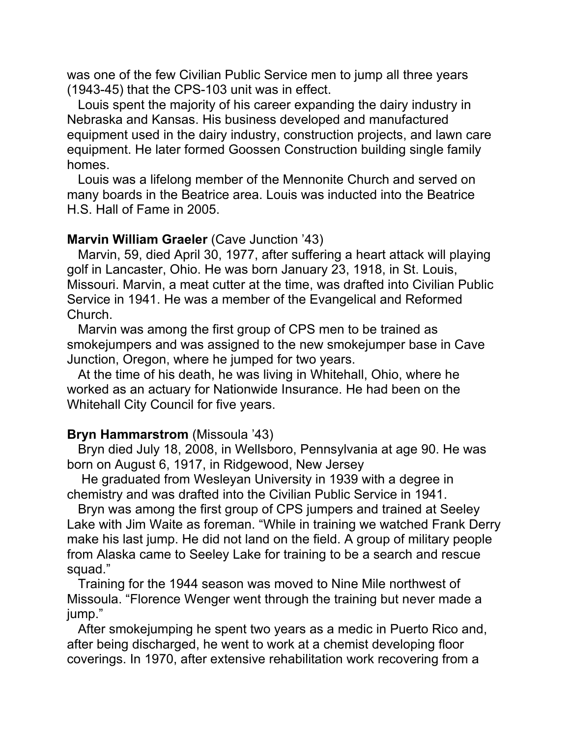was one of the few Civilian Public Service men to jump all three years (1943-45) that the CPS-103 unit was in effect.

 Louis spent the majority of his career expanding the dairy industry in Nebraska and Kansas. His business developed and manufactured equipment used in the dairy industry, construction projects, and lawn care equipment. He later formed Goossen Construction building single family homes.

 Louis was a lifelong member of the Mennonite Church and served on many boards in the Beatrice area. Louis was inducted into the Beatrice H.S. Hall of Fame in 2005.

#### **Marvin William Graeler** (Cave Junction '43)

 Marvin, 59, died April 30, 1977, after suffering a heart attack will playing golf in Lancaster, Ohio. He was born January 23, 1918, in St. Louis, Missouri. Marvin, a meat cutter at the time, was drafted into Civilian Public Service in 1941. He was a member of the Evangelical and Reformed Church.

 Marvin was among the first group of CPS men to be trained as smokejumpers and was assigned to the new smokejumper base in Cave Junction, Oregon, where he jumped for two years.

 At the time of his death, he was living in Whitehall, Ohio, where he worked as an actuary for Nationwide Insurance. He had been on the Whitehall City Council for five years.

### **Bryn Hammarstrom** (Missoula '43)

 Bryn died July 18, 2008, in Wellsboro, Pennsylvania at age 90. He was born on August 6, 1917, in Ridgewood, New Jersey

 He graduated from Wesleyan University in 1939 with a degree in chemistry and was drafted into the Civilian Public Service in 1941.

 Bryn was among the first group of CPS jumpers and trained at Seeley Lake with Jim Waite as foreman. "While in training we watched Frank Derry make his last jump. He did not land on the field. A group of military people from Alaska came to Seeley Lake for training to be a search and rescue squad."

 Training for the 1944 season was moved to Nine Mile northwest of Missoula. "Florence Wenger went through the training but never made a jump."

 After smokejumping he spent two years as a medic in Puerto Rico and, after being discharged, he went to work at a chemist developing floor coverings. In 1970, after extensive rehabilitation work recovering from a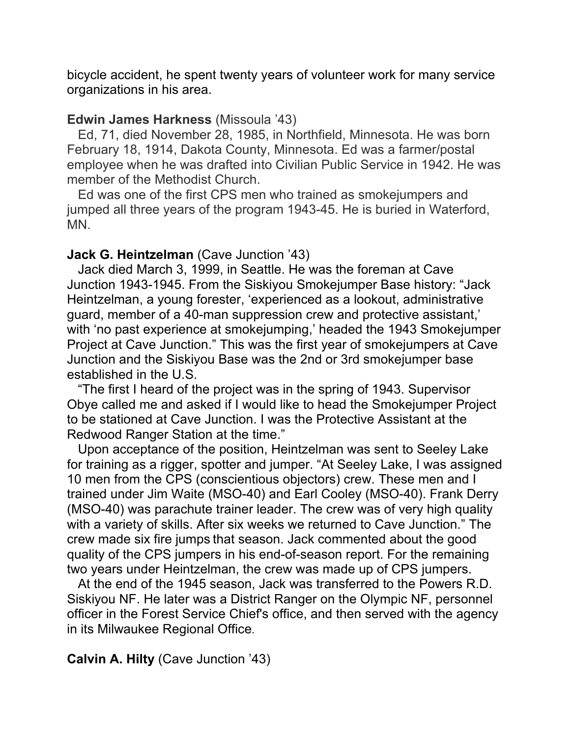bicycle accident, he spent twenty years of volunteer work for many service organizations in his area.

### **Edwin James Harkness** (Missoula '43)

 Ed, 71, died November 28, 1985, in Northfield, Minnesota. He was born February 18, 1914, Dakota County, Minnesota. Ed was a farmer/postal employee when he was drafted into Civilian Public Service in 1942. He was member of the Methodist Church.

 Ed was one of the first CPS men who trained as smokejumpers and jumped all three years of the program 1943-45. He is buried in Waterford, MN.

### **Jack G. Heintzelman** (Cave Junction '43)

 Jack died March 3, 1999, in Seattle. He was the foreman at Cave Junction 1943-1945. From the Siskiyou Smokejumper Base history: "Jack Heintzelman, a young forester, 'experienced as a lookout, administrative guard, member of a 40-man suppression crew and protective assistant,' with 'no past experience at smokejumping,' headed the 1943 Smokejumper Project at Cave Junction." This was the first year of smokejumpers at Cave Junction and the Siskiyou Base was the 2nd or 3rd smokejumper base established in the U.S.

 "The first I heard of the project was in the spring of 1943. Supervisor Obye called me and asked if I would like to head the Smokejumper Project to be stationed at Cave Junction. I was the Protective Assistant at the Redwood Ranger Station at the time."

 Upon acceptance of the position, Heintzelman was sent to Seeley Lake for training as a rigger, spotter and jumper. "At Seeley Lake, I was assigned 10 men from the CPS (conscientious objectors) crew. These men and I trained under Jim Waite (MSO-40) and Earl Cooley (MSO-40). Frank Derry (MSO-40) was parachute trainer leader. The crew was of very high quality with a variety of skills. After six weeks we returned to Cave Junction." The crew made six fire jumps that season. Jack commented about the good quality of the CPS jumpers in his end-of-season report. For the remaining two years under Heintzelman, the crew was made up of CPS jumpers.

 At the end of the 1945 season, Jack was transferred to the Powers R.D. Siskiyou NF. He later was a District Ranger on the Olympic NF, personnel officer in the Forest Service Chief's office, and then served with the agency in its Milwaukee Regional Office.

## **Calvin A. Hilty** (Cave Junction '43)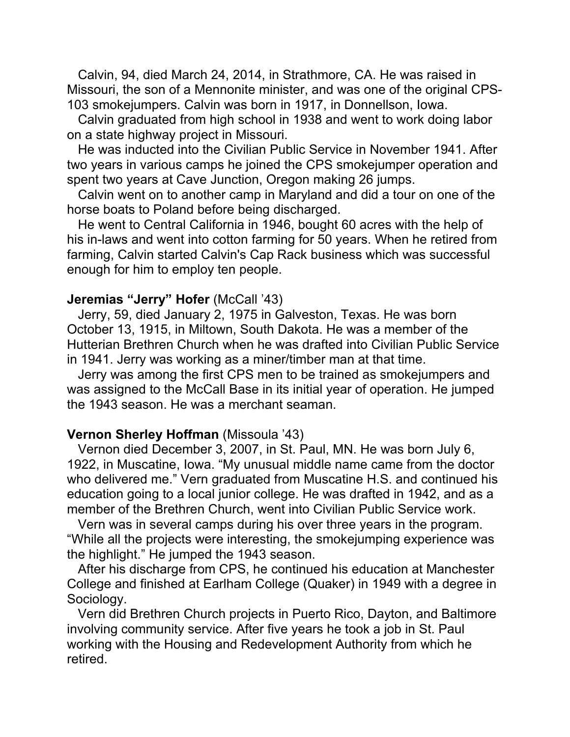Calvin, 94, died March 24, 2014, in Strathmore, CA. He was raised in Missouri, the son of a Mennonite minister, and was one of the original CPS-103 smokejumpers. Calvin was born in 1917, in Donnellson, Iowa.

 Calvin graduated from high school in 1938 and went to work doing labor on a state highway project in Missouri.

 He was inducted into the Civilian Public Service in November 1941. After two years in various camps he joined the CPS smokejumper operation and spent two years at Cave Junction, Oregon making 26 jumps.

 Calvin went on to another camp in Maryland and did a tour on one of the horse boats to Poland before being discharged.

 He went to Central California in 1946, bought 60 acres with the help of his in-laws and went into cotton farming for 50 years. When he retired from farming, Calvin started Calvin's Cap Rack business which was successful enough for him to employ ten people.

### **Jeremias "Jerry" Hofer** (McCall '43)

 Jerry, 59, died January 2, 1975 in Galveston, Texas. He was born October 13, 1915, in Miltown, South Dakota. He was a member of the Hutterian Brethren Church when he was drafted into Civilian Public Service in 1941. Jerry was working as a miner/timber man at that time.

 Jerry was among the first CPS men to be trained as smokejumpers and was assigned to the McCall Base in its initial year of operation. He jumped the 1943 season. He was a merchant seaman.

#### **Vernon Sherley Hoffman** (Missoula '43)

 Vernon died December 3, 2007, in St. Paul, MN. He was born July 6, 1922, in Muscatine, Iowa. "My unusual middle name came from the doctor who delivered me." Vern graduated from Muscatine H.S. and continued his education going to a local junior college. He was drafted in 1942, and as a member of the Brethren Church, went into Civilian Public Service work.

 Vern was in several camps during his over three years in the program. "While all the projects were interesting, the smokejumping experience was the highlight." He jumped the 1943 season.

 After his discharge from CPS, he continued his education at Manchester College and finished at Earlham College (Quaker) in 1949 with a degree in Sociology.

 Vern did Brethren Church projects in Puerto Rico, Dayton, and Baltimore involving community service. After five years he took a job in St. Paul working with the Housing and Redevelopment Authority from which he retired.